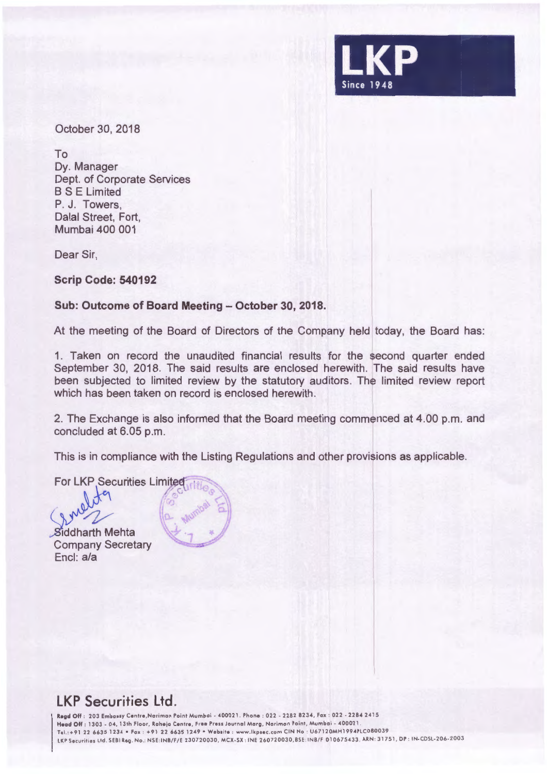

October 30, 2018

To

Dy. Manager Dept. of Corporate Services BS E Limited P. J. Towers, Dalal Street, Fort, Mumbai 400 001

Dear Sir,

**Scrip Code: 540192** 

## Sub: Outcome of Board Meeting - October 30, 2018.

At the meeting of the Board of Directors of the Company held today, the Board has:

1. Taken on record the unaudited financial results for the second quarter ended September 30, 2018. The said results are enclosed herewith. The said results have been subjected to limited review by the statutory auditors. The limited review report which has been taken on record is enclosed herewith.

2. The Exchange is also informed that the Board meeting commenced at 4.00 p.m. and concluded at 6.05 p.m.

This is in compliance with the Listing Regulations and other provisions as applicable.

For LKP Securities Limited

**Siddharth Mehta** Company Secretary Encl: a/a



# **LKP Securities Ltd.**

Regd Off : 203 Embassy Centre, Nariman Point Mumbai - 400021. Phone : 022 - 2282 8234, Fax : 022 - 2284 2415 Head Off: 1303 - 04, 13th Floor, Raheja Centre, Free Press Journal Marg, Nariman Point, Mumbai - 400021. Tel .: +912266351234 •Fax : +91 22 6635 1249 •Website : www .lkpsec .com CIN No : U67120MH1994PLC080039 LKP Securities Ltd . SEBI Reg . Na .: NSE :INB/F/E 230720030 , MCX -SX : INE 26072 0030 , BSE : INB/ F 010675433 , ARN : 31751, DP : IN-CDSL-206-2003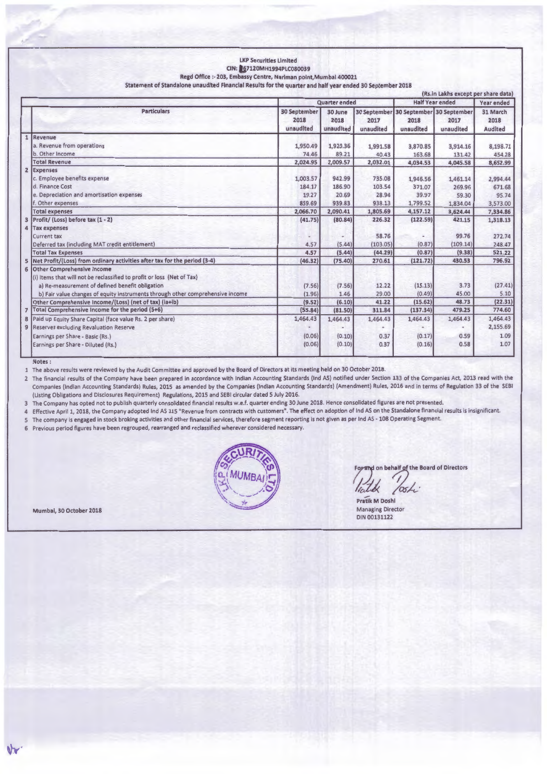#### LKP Securities Limited CIN: 067120MH1994PLC080039 **Regd** Office :- 203, Embassy Centre, Nariman point,Mumbai 400021 Statement of Standalone unaudited Financial Results for the quarter and half year ended 30 September 2018

|                  |                                                                                                                                                                                                                                                                                                                                                                                                                                                                                                                                                       |                                                                        |                                                                      |                                                                      |                                                                           | (Rs.in Lakhs except per share data)                                       |                                                                              |
|------------------|-------------------------------------------------------------------------------------------------------------------------------------------------------------------------------------------------------------------------------------------------------------------------------------------------------------------------------------------------------------------------------------------------------------------------------------------------------------------------------------------------------------------------------------------------------|------------------------------------------------------------------------|----------------------------------------------------------------------|----------------------------------------------------------------------|---------------------------------------------------------------------------|---------------------------------------------------------------------------|------------------------------------------------------------------------------|
|                  |                                                                                                                                                                                                                                                                                                                                                                                                                                                                                                                                                       |                                                                        | Quarter ended                                                        |                                                                      |                                                                           | <b>Half Year ended</b>                                                    |                                                                              |
|                  | <b>Particulars</b>                                                                                                                                                                                                                                                                                                                                                                                                                                                                                                                                    | <b>30 September</b><br>2018<br>unaudited                               | 30 June<br>2018<br>unaudited                                         | 2017<br>unaudited                                                    | 30 September 30 September 30 September<br>2018<br>unaudited               | 2017<br>unaudited                                                         | 31 March<br>2018<br><b>Audited</b>                                           |
| $\overline{2}$   | Revenue<br>a. Revenue from operations<br>b. Other Income<br><b>Total Revenue</b><br>Expenses<br>c. Employee benefits expense<br>d. Finance Cost<br>e. Depreciation and amortisation expenses<br>f. Other expenses                                                                                                                                                                                                                                                                                                                                     | 1,950.49<br>74.46<br>2,024.95<br>1,003.57<br>184.17<br>19.27<br>859.69 | 1,920.36<br>89.21<br>2,009.57<br>942.99<br>186.90<br>20.69<br>939.83 | 1,991.58<br>40.43<br>2,032.01<br>735.08<br>103.54<br>28.94<br>938.13 | 3,870.85<br>163.68<br>4,034.53<br>1,946.56<br>371.07<br>39.97<br>1,799.52 | 3,914.16<br>131.42<br>4,045.58<br>1,461.14<br>269.96<br>59.30<br>1,834.04 | 8,198.71<br>454.28<br>8,652.99<br>2,994.44<br>671.68<br>95.74<br>3,573.00    |
| 3<br>4           | <b>Total expenses</b><br>Profit/ (Loss) before tax (1 - 2)<br>Tax expenses<br><b>Current tax</b><br>Deferred tax (including MAT credit entitlement)<br><b>Total Tax Expenses</b><br>5 Net Profit/(Loss) from ordinary activities after tax for the period (3-4)                                                                                                                                                                                                                                                                                       | 2,066.70<br>(41.75)<br>4.57<br>4.57<br>(46.32)                         | 2,090.41<br>(80.84)<br>(5.44)<br>(5.44)<br>(75.40)                   | 1,805.69<br>226.32<br>58.76<br>(103.05)<br>(44.29)<br>270.61         | 4,157.12<br>(122.59)<br>(0.87)<br>(0.87)<br>(121.72)                      | 3,624.44<br>421.15<br>99.76<br>(109.14)<br>(9.38)<br>430.53               | 7,334.86<br>1,318.13<br>272.74<br>248.47<br>521.22<br>796.92                 |
| 6<br>7<br>8<br>9 | <b>Other Comprehensive Income</b><br>(i) Items that will not be reclassified to profit or loss (Net of Tax)<br>a) Re-measurement of defined benefit obligation<br>b) Fair value changes of equity instruments through other comprehensive income<br>Other Comprehensive Income/(Loss) (net of tax) (ia+ib)<br>Total Comprehensive Income for the period (5+6)<br>Paid up Equity Share Capital (face value Rs. 2 per share)<br><b>Reserves excluding Revaluation Reserve</b><br>Earnings per Share - Basic (Rs.)<br>Earnings per Share - Diluted (Rs.) | (7.56)<br>(1.96)<br>(9.52)<br>(55.84)<br>1,464.43<br>(0.06)<br>(0.06)  | (7.56)<br>1.46<br>(6.10)<br>(81.50)<br>1,464.43<br>(0.10)<br>(0.10)  | 12.22<br>29.00<br>41.22<br>311.84<br>1,464.43<br>0.37<br>0.37        | (15.13)<br>(0.49)<br>(15.62)<br>(137.34)<br>1,464.43<br>(0.17)<br>(0.16)  | 3.73<br>45.00<br>48.73<br>479.25<br>1,464.43<br>0.59<br>0.58              | (27.41)<br>5.10<br>(22.31)<br>774.60<br>1,464.43<br>2,155.69<br>1.09<br>1.07 |

#### **Notes :**

1 The above results were reviewed by the Audit Committee and approved by the Board of Directors at its meeting held on 30 October 2018.

2 The financial results of the Company have been prepared in accordance with Indian Accounting Standards (Ind AS) notified under Section 133 of the Companies Act, 2013 read with the Companies (Indian Accounting Standards) Rules, 2015 as amended by the Companies (Indian Accounting Standards) (Amendment) Rules, 2016 and in terms of Regulation 33 of the SEBI (Listing Obligations and Disclosures Requirement) Regulations, 2015 and SEBI circular dated 5 July 2016.

3 The Company has opted not to publish quarterly consolidated financial results w.e.f. quarter ending 30 June 2018. Hence consolidated figures are not presented.

4 Effective April 1, 2018, the Company adopted Ind AS 115 "Revenue from contracts with customers". The effect on adoption of Ind AS on the Standalone financial results is insignificant.

5 The company is engaged in stock broking activities and other financial services, therefore segment reporting is not given as per Ind AS - 108 Operating Segment.

6 Previous period figures have been regrouped, rearranged and reclassified wherever considered necessary.



For and on behalf of the Board of Directors<br>*lights Tosh*:

**Pratlk M Doshi**  Managing Director DIN 00131122

**Mumbai,** 30 **October 2018**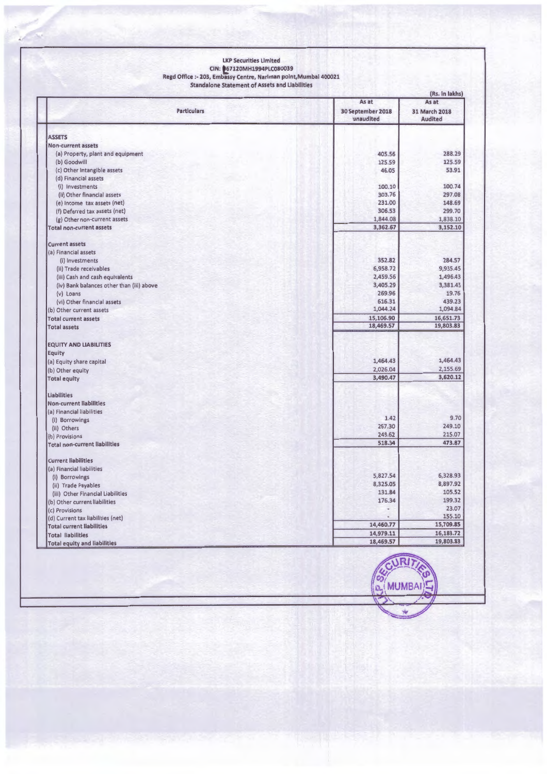#### **LKP Securities Limited CIN: t7120MH1994PLC080039**

**Regd Office** :- **203, Embassy Centre, Narlman polnt,Mumbal 400021** 

**Standalone Statement of Assets and Liabilities** 

|                                                        |                                | (Rs. in lakhs)                  |  |  |  |
|--------------------------------------------------------|--------------------------------|---------------------------------|--|--|--|
|                                                        |                                | As at<br>As at                  |  |  |  |
| <b>Particulars</b>                                     | 30 September 2018<br>unaudited | 31 March 2018<br><b>Audited</b> |  |  |  |
| <b>ASSETS</b>                                          |                                |                                 |  |  |  |
| Non-current assets                                     |                                |                                 |  |  |  |
| (a) Property, plant and equipment                      | 405.56                         | 288.29                          |  |  |  |
|                                                        | 125.59                         | 125.59                          |  |  |  |
| (b) Goodwill                                           | 46.05                          | 53.91                           |  |  |  |
| (c) Other Intangible assets                            |                                |                                 |  |  |  |
| (d) Financial assets                                   | 100.10                         | 100.74                          |  |  |  |
| (i) Investments                                        | 303.76                         | 297.08                          |  |  |  |
| (ii) Other financial assets                            | 231.00                         | 148.69                          |  |  |  |
| (e) Income tax assets (net)                            |                                |                                 |  |  |  |
| (f) Deferred tax assets (net)                          | 306.53                         | 299.70                          |  |  |  |
| (g) Other non-current assets                           | 1,844.08                       | 1,838.10                        |  |  |  |
| <b>Total non-current assets</b>                        | 3,362.67                       | 3,152.10                        |  |  |  |
| <b>Current assets</b>                                  |                                |                                 |  |  |  |
| (a) Financial assets                                   |                                |                                 |  |  |  |
| (i) Investments                                        | 352.82                         | 284.57                          |  |  |  |
| (ii) Trade receivables                                 | 6,958.72                       | 9,935.45                        |  |  |  |
| (iii) Cash and cash equivalents                        | 2,459.56                       | 1,496.43                        |  |  |  |
| (iv) Bank balances other than (iii) above              | 3,405.29                       | 3,381.45                        |  |  |  |
| (v) Loans                                              | 269.96                         | 19.76                           |  |  |  |
| (vi) Other financial assets                            | 616.31                         | 439.23                          |  |  |  |
| (b) Other current assets                               | 1,044.24                       | 1,094.84                        |  |  |  |
| <b>Total current assets</b>                            | 15,106.90                      | 16,651.73                       |  |  |  |
| <b>Total assets</b>                                    | 18,469.57                      | 19,803.83                       |  |  |  |
| <b>EQUITY AND LIABILITIES</b>                          |                                |                                 |  |  |  |
| Equity                                                 |                                |                                 |  |  |  |
| (a) Equity share capital                               | 1,464.43                       | 1,464.43                        |  |  |  |
| (b) Other equity                                       | 2,026.04                       | 2,155.69                        |  |  |  |
| <b>Total equity</b>                                    | 3,490.47                       | 3,620.12                        |  |  |  |
| <b>Liabilities</b>                                     |                                |                                 |  |  |  |
| <b>Non-current liabilities</b>                         |                                |                                 |  |  |  |
| (a) Financial liabilities                              |                                |                                 |  |  |  |
|                                                        | 1.42                           | 9.70                            |  |  |  |
| (i) Borrowings                                         | 267.30                         | 249.10                          |  |  |  |
| (ii) Others                                            | 249.62                         | 215.07                          |  |  |  |
| (b) Provisions<br><b>Total non-current liabilities</b> | 518.34                         | 473.87                          |  |  |  |
|                                                        |                                |                                 |  |  |  |
| <b>Current liabilities</b>                             |                                |                                 |  |  |  |
| (a) Financial liabilities                              | 5,827.54                       | 6,328.93                        |  |  |  |
| (i) Borrowings                                         | 8,325.05                       | 8,897.92                        |  |  |  |
| (ii) Trade Payables                                    | 131.84                         | 105.52                          |  |  |  |
| (iii) Other Financial Liabilities                      | 176.34                         | 199.32                          |  |  |  |
| (b) Other current liabilities                          |                                | 23.07                           |  |  |  |
| (c) Provisions                                         |                                | 155.10                          |  |  |  |
| (d) Current tax liabilities (net)                      | 14,460.77                      | 15,709.85                       |  |  |  |
| <b>Total current liabilities</b>                       |                                | 16,183.72                       |  |  |  |
| <b>Total liabilities</b>                               | 14,979.11                      |                                 |  |  |  |
| <b>Total equity and liabilities</b>                    | 18,469.57                      | 19,803.83                       |  |  |  |



÷.